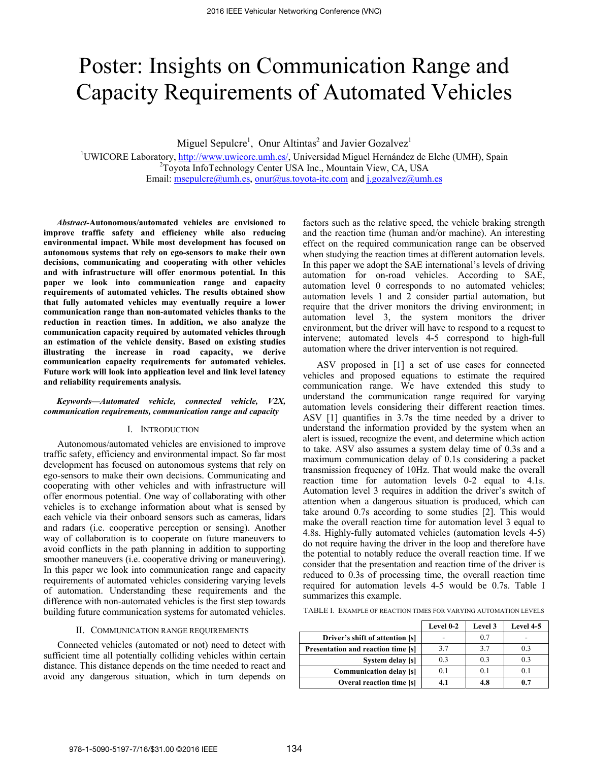# Poster: Insights on Communication Range and Capacity Requirements of Automated Vehicles

Miguel Sepulcre<sup>1</sup>, Onur Altintas<sup>2</sup> and Javier Gozalvez<sup>1</sup>

<sup>1</sup>UWICORE Laboratory,  $\frac{http://www.uwicore.umh.es/}{http://www.uwicore.umh.es/},$  Universidad Miguel Hernández de Elche (UMH), Spain <sup>2</sup>Tovote Info Technology Center US A, Inc., Mountain View, CA, US A <sup>2</sup>Toyota InfoTechnology Center USA Inc., Mountain View, CA, USA Email: msepulcre@umh.es, onur@us.toyota-itc.com and j.gozalvez@umh.es

*Abstract***-Autonomous/automated vehicles are envisioned to improve traffic safety and efficiency while also reducing environmental impact. While most development has focused on autonomous systems that rely on ego-sensors to make their own decisions, communicating and cooperating with other vehicles and with infrastructure will offer enormous potential. In this paper we look into communication range and capacity requirements of automated vehicles. The results obtained show that fully automated vehicles may eventually require a lower communication range than non-automated vehicles thanks to the reduction in reaction times. In addition, we also analyze the communication capacity required by automated vehicles through an estimation of the vehicle density. Based on existing studies illustrating the increase in road capacity, we derive communication capacity requirements for automated vehicles. Future work will look into application level and link level latency and reliability requirements analysis.** 

## *Keywords—Automated vehicle, connected vehicle, V2X, communication requirements, communication range and capacity*

## I. INTRODUCTION

Autonomous/automated vehicles are envisioned to improve traffic safety, efficiency and environmental impact. So far most development has focused on autonomous systems that rely on ego-sensors to make their own decisions. Communicating and cooperating with other vehicles and with infrastructure will offer enormous potential. One way of collaborating with other vehicles is to exchange information about what is sensed by each vehicle via their onboard sensors such as cameras, lidars and radars (i.e. cooperative perception or sensing). Another way of collaboration is to cooperate on future maneuvers to avoid conflicts in the path planning in addition to supporting smoother maneuvers (i.e. cooperative driving or maneuvering). In this paper we look into communication range and capacity requirements of automated vehicles considering varying levels of automation. Understanding these requirements and the difference with non-automated vehicles is the first step towards building future communication systems for automated vehicles.

#### II. COMMUNICATION RANGE REQUIREMENTS

Connected vehicles (automated or not) need to detect with sufficient time all potentially colliding vehicles within certain distance. This distance depends on the time needed to react and avoid any dangerous situation, which in turn depends on factors such as the relative speed, the vehicle braking strength and the reaction time (human and/or machine). An interesting effect on the required communication range can be observed when studying the reaction times at different automation levels. In this paper we adopt the SAE international's levels of driving automation for on-road vehicles. According to SAE, automation level 0 corresponds to no automated vehicles; automation levels 1 and 2 consider partial automation, but require that the driver monitors the driving environment; in automation level 3, the system monitors the driver environment, but the driver will have to respond to a request to intervene; automated levels 4-5 correspond to high-full automation where the driver intervention is not required.

ASV proposed in [1] a set of use cases for connected vehicles and proposed equations to estimate the required communication range. We have extended this study to understand the communication range required for varying automation levels considering their different reaction times. ASV [1] quantifies in 3.7s the time needed by a driver to understand the information provided by the system when an alert is issued, recognize the event, and determine which action to take. ASV also assumes a system delay time of 0.3s and a maximum communication delay of 0.1s considering a packet transmission frequency of 10Hz. That would make the overall reaction time for automation levels 0-2 equal to 4.1s. Automation level 3 requires in addition the driver's switch of attention when a dangerous situation is produced, which can take around 0.7s according to some studies [2]. This would make the overall reaction time for automation level 3 equal to 4.8s. Highly-fully automated vehicles (automation levels 4-5) do not require having the driver in the loop and therefore have the potential to notably reduce the overall reaction time. If we consider that the presentation and reaction time of the driver is reduced to 0.3s of processing time, the overall reaction time required for automation levels 4-5 would be 0.7s. Table I summarizes this example.

TABLE I. EXAMPLE OF REACTION TIMES FOR VARYING AUTOMATION LEVELS

|                                    | Level 0-2 | Level 3 | <b>Level 4-5</b> |
|------------------------------------|-----------|---------|------------------|
| Driver's shift of attention [s]    |           | 0.7     |                  |
| Presentation and reaction time [s] | 3.7       | 3.7     | 0.3              |
| System delay [s]                   | 0.3       | 0.3     | 0.3              |
| Communication delay [s]            | 0.1       | 0.1     | 0.1              |
| <b>Overal reaction time [s]</b>    |           | 4.8     | 0.7              |